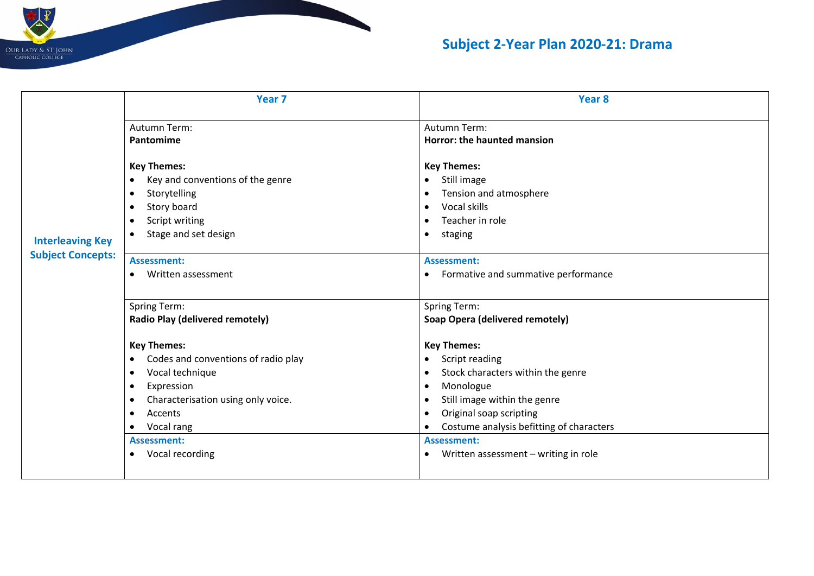

## **Subject 2-Year Plan 2020-21: Drama**

| <b>Interleaving Key</b><br><b>Subject Concepts:</b> | Year <sub>7</sub>                                | Year <sub>8</sub>                                 |
|-----------------------------------------------------|--------------------------------------------------|---------------------------------------------------|
|                                                     | Autumn Term:                                     | Autumn Term:                                      |
|                                                     | Pantomime                                        | Horror: the haunted mansion                       |
|                                                     | <b>Key Themes:</b>                               | <b>Key Themes:</b>                                |
|                                                     | Key and conventions of the genre<br>$\bullet$    | Still image                                       |
|                                                     | Storytelling<br>$\bullet$                        | Tension and atmosphere                            |
|                                                     | Story board<br>$\bullet$                         | Vocal skills<br>$\bullet$                         |
|                                                     | Script writing<br>$\bullet$                      | Teacher in role                                   |
|                                                     | Stage and set design<br>$\bullet$                | staging<br>$\bullet$                              |
|                                                     | <b>Assessment:</b>                               | <b>Assessment:</b>                                |
|                                                     | Written assessment<br>$\bullet$                  | Formative and summative performance               |
|                                                     |                                                  |                                                   |
|                                                     | <b>Spring Term:</b>                              | Spring Term:                                      |
|                                                     | <b>Radio Play (delivered remotely)</b>           | Soap Opera (delivered remotely)                   |
|                                                     | <b>Key Themes:</b>                               | <b>Key Themes:</b>                                |
|                                                     | Codes and conventions of radio play<br>$\bullet$ | Script reading                                    |
|                                                     | Vocal technique<br>$\bullet$                     | Stock characters within the genre<br>$\bullet$    |
|                                                     | Expression<br>$\bullet$                          | Monologue<br>$\bullet$                            |
|                                                     | Characterisation using only voice.<br>$\bullet$  | Still image within the genre<br>$\bullet$         |
|                                                     | Accents<br>$\bullet$                             | Original soap scripting<br>$\bullet$              |
|                                                     | Vocal rang<br>$\bullet$                          | Costume analysis befitting of characters          |
|                                                     | <b>Assessment:</b>                               | <b>Assessment:</b>                                |
|                                                     | Vocal recording<br>$\bullet$                     | Written assessment - writing in role<br>$\bullet$ |
|                                                     |                                                  |                                                   |